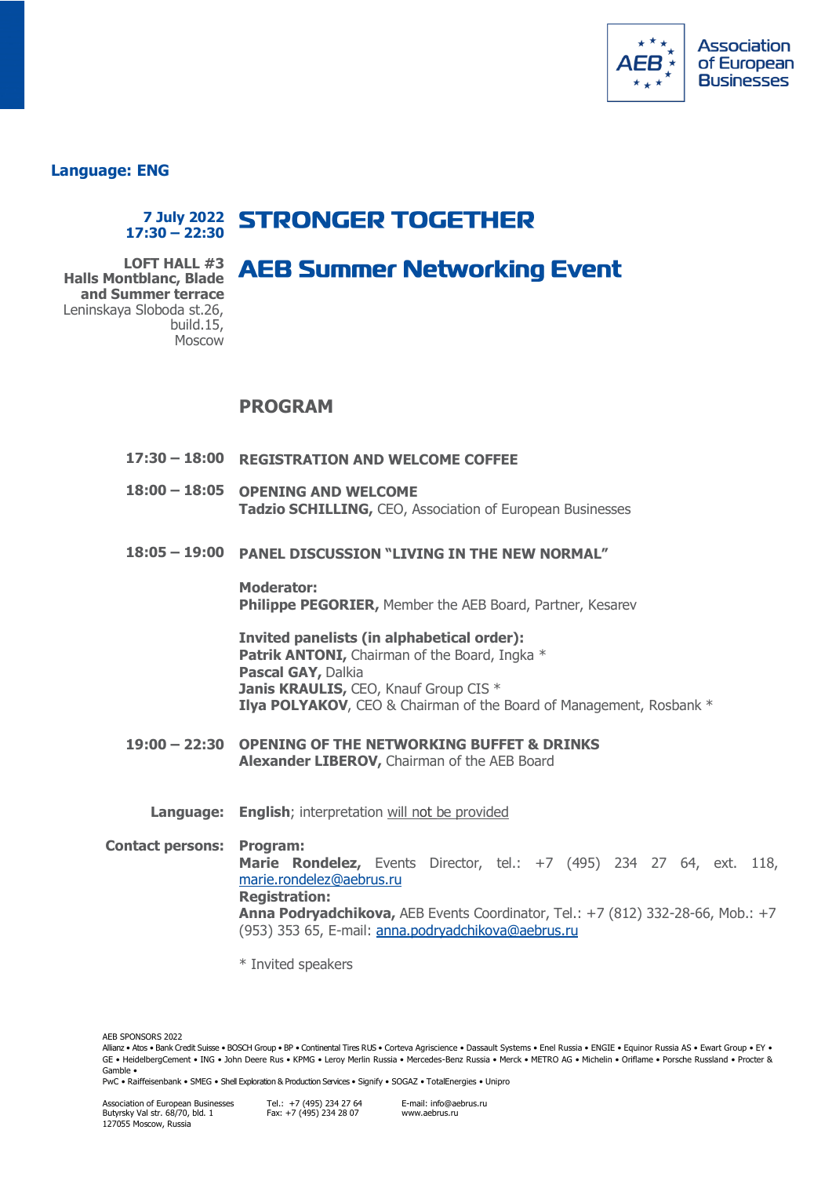

**Language: ENG**

## **7 July 2022 STRONGER TOGETHER 17:30 – 22:30**

## **AEB Summer Networking Event**

**LOFT HALL #3 Halls Montblanc, Blade and Summer terrace** Leninskaya Sloboda st.26, build.15, Moscow

## **PROGRAM**

- **17:30 – 18:00 REGISTRATION AND WELCOME COFFEE**
- **18:00 – 18:05 OPENING AND WELCOME Tadzio SCHILLING,** CEO, Association of European Businesses
- **18:05 – 19:00 PANEL DISCUSSION "LIVING IN THE NEW NORMAL"**

**Moderator: Philippe PEGORIER,** Member the AEB Board, Partner, Kesarev

**Invited panelists (in alphabetical order): Patrik ANTONI, Chairman of the Board, Ingka \* Pascal GAY,** Dalkia **Janis KRAULIS, CEO, Knauf Group CIS \* Ilya POLYAKOV**, CEO & Chairman of the Board of Management, Rosbank \*

- **19:00 – 22:30 OPENING OF THE NETWORKING BUFFET & DRINKS Alexander LIBEROV,** Chairman of the AEB Board
	- **Language: English**; interpretation will not be provided

**Contact persons: Program: Marie Rondelez,** Events Director, tel.: +7 (495) 234 27 64, ext. 118, [marie.rondelez@aebrus.ru](mailto:marie.rondelez@aebrus.ru) **Registration: Anna Podryadchikova,** AEB Events Coordinator, Tel.: +7 (812) 332-28-66, Mob.: +7 (953) 353 65, E-mail: [anna.podryadchikova@aebrus.ru](mailto:Tadzio.Schilling@aebrus.ru)

\* Invited speakers

AEB SPONSORS 2022

Allianz • Atos • Bank Credit Suisse • BOSCH Group • BP • Continental Tires RUS • Corteva Agriscience • Dassault Systems • Enel Russia • ENGIE • Equinor Russia AS • Ewart Group • EY • GE • HeidelbergCement • ING • John Deere Rus • KPMG • Leroy Merlin Russia • Mercedes-Benz Russia • Merck • METRO AG • Michelin • Oriflame • Porsche Russland • Procter & Gamble •

PwC • Raiffeisenbank • SMEG • Shell Exploration & Production Services • Signify • SOGAZ • TotalEnergies • Unipro